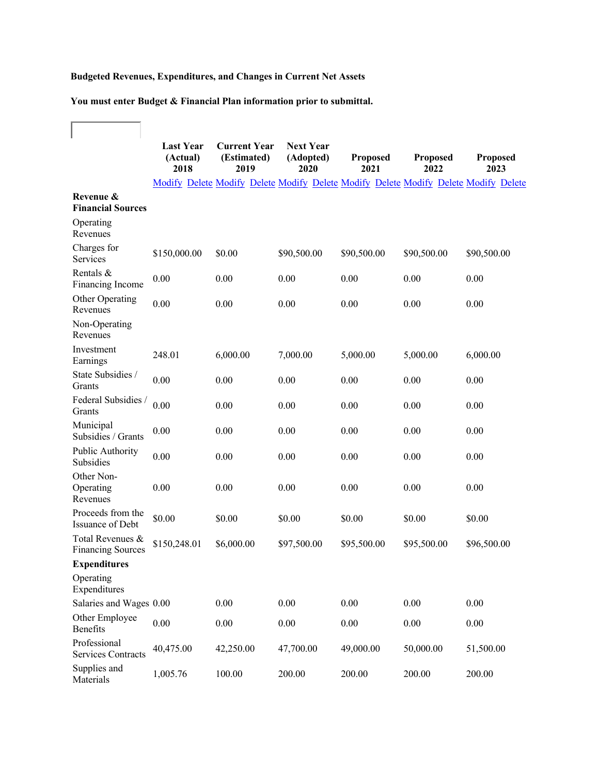## **Budgeted Revenues, Expenditures, and Changes in Current Net Assets**

**You must enter Budget & Financial Plan information prior to submittal.**

 $\overline{\Gamma}$ 

F

|                                              | <b>Last Year</b><br>(Actual)<br>2018 | <b>Current Year</b><br>(Estimated)<br>2019 | <b>Next Year</b><br>(Adopted)<br>2020 | Proposed<br>2021                                                                    | <b>Proposed</b><br>2022 | <b>Proposed</b><br>2023 |
|----------------------------------------------|--------------------------------------|--------------------------------------------|---------------------------------------|-------------------------------------------------------------------------------------|-------------------------|-------------------------|
|                                              |                                      |                                            |                                       | Modify Delete Modify Delete Modify Delete Modify Delete Modify Delete Modify Delete |                         |                         |
| Revenue &<br><b>Financial Sources</b>        |                                      |                                            |                                       |                                                                                     |                         |                         |
| Operating<br>Revenues                        |                                      |                                            |                                       |                                                                                     |                         |                         |
| Charges for<br>Services                      | \$150,000.00                         | \$0.00                                     | \$90,500.00                           | \$90,500.00                                                                         | \$90,500.00             | \$90,500.00             |
| Rentals &<br>Financing Income                | 0.00                                 | 0.00                                       | 0.00                                  | 0.00                                                                                | 0.00                    | 0.00                    |
| Other Operating<br>Revenues                  | 0.00                                 | 0.00                                       | 0.00                                  | 0.00                                                                                | 0.00                    | 0.00                    |
| Non-Operating<br>Revenues                    |                                      |                                            |                                       |                                                                                     |                         |                         |
| Investment<br>Earnings                       | 248.01                               | 6,000.00                                   | 7,000.00                              | 5,000.00                                                                            | 5,000.00                | 6,000.00                |
| State Subsidies /<br>Grants                  | 0.00                                 | 0.00                                       | 0.00                                  | 0.00                                                                                | 0.00                    | 0.00                    |
| Federal Subsidies /<br>Grants                | 0.00                                 | 0.00                                       | 0.00                                  | 0.00                                                                                | 0.00                    | 0.00                    |
| Municipal<br>Subsidies / Grants              | 0.00                                 | 0.00                                       | 0.00                                  | 0.00                                                                                | 0.00                    | 0.00                    |
| Public Authority<br>Subsidies                | 0.00                                 | 0.00                                       | 0.00                                  | 0.00                                                                                | 0.00                    | 0.00                    |
| Other Non-<br>Operating<br>Revenues          | 0.00                                 | 0.00                                       | 0.00                                  | 0.00                                                                                | 0.00                    | 0.00                    |
| Proceeds from the<br>Issuance of Debt        | \$0.00                               | \$0.00                                     | \$0.00                                | \$0.00                                                                              | \$0.00                  | \$0.00                  |
| Total Revenues &<br><b>Financing Sources</b> | \$150,248.01                         | \$6,000.00                                 | \$97,500.00                           | \$95,500.00                                                                         | \$95,500.00             | \$96,500.00             |
| <b>Expenditures</b>                          |                                      |                                            |                                       |                                                                                     |                         |                         |
| Operating<br>Expenditures                    |                                      |                                            |                                       |                                                                                     |                         |                         |
| Salaries and Wages 0.00                      |                                      | $0.00\,$                                   | 0.00                                  | 0.00                                                                                | 0.00                    | 0.00                    |
| Other Employee<br><b>Benefits</b>            | 0.00                                 | $0.00\,$                                   | 0.00                                  | 0.00                                                                                | 0.00                    | 0.00                    |
| Professional<br><b>Services Contracts</b>    | 40,475.00                            | 42,250.00                                  | 47,700.00                             | 49,000.00                                                                           | 50,000.00               | 51,500.00               |
| Supplies and<br>Materials                    | 1,005.76                             | 100.00                                     | 200.00                                | 200.00                                                                              | 200.00                  | 200.00                  |